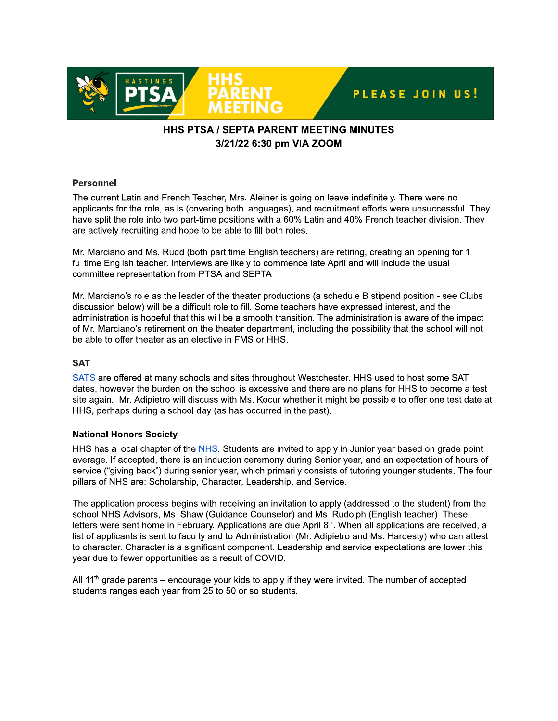

# **HHS PTSA / SEPTA PARENT MEETING MINUTES** 3/21/22 6:30 pm VIA ZOOM

### **Personnel**

The current Latin and French Teacher, Mrs. Aleiner is going on leave indefinitely. There were no applicants for the role, as is (covering both languages), and recruitment efforts were unsuccessful. They have split the role into two part-time positions with a 60% Latin and 40% French teacher division. They are actively recruiting and hope to be able to fill both roles.

Mr. Marciano and Ms. Rudd (both part time English teachers) are retiring, creating an opening for 1 fulltime English teacher. Interviews are likely to commence late April and will include the usual committee representation from PTSA and SEPTA.

Mr. Marciano's role as the leader of the theater productions (a schedule B stipend position - see Clubs discussion below) will be a difficult role to fill. Some teachers have expressed interest, and the administration is hopeful that this will be a smooth transition. The administration is aware of the impact of Mr. Marciano's retirement on the theater department, including the possibility that the school will not be able to offer theater as an elective in FMS or HHS.

# **SAT**

SATS are offered at many schools and sites throughout Westchester. HHS used to host some SAT dates, however the burden on the school is excessive and there are no plans for HHS to become a test site again. Mr. Adipietro will discuss with Ms. Kocur whether it might be possible to offer one test date at HHS, perhaps during a school day (as has occurred in the past).

# **National Honors Society**

HHS has a local chapter of the NHS. Students are invited to apply in Junior year based on grade point average. If accepted, there is an induction ceremony during Senior year, and an expectation of hours of service ("giving back") during senior year, which primarily consists of tutoring younger students. The four pillars of NHS are: Scholarship, Character, Leadership, and Service.

The application process begins with receiving an invitation to apply (addressed to the student) from the school NHS Advisors, Ms. Shaw (Guidance Counselor) and Ms. Rudolph (English teacher). These letters were sent home in February. Applications are due April 8<sup>th</sup>. When all applications are received, a list of applicants is sent to faculty and to Administration (Mr. Adipietro and Ms. Hardesty) who can attest to character. Character is a significant component. Leadership and service expectations are lower this year due to fewer opportunities as a result of COVID.

All  $11<sup>th</sup>$  grade parents – encourage your kids to apply if they were invited. The number of accepted students ranges each year from 25 to 50 or so students.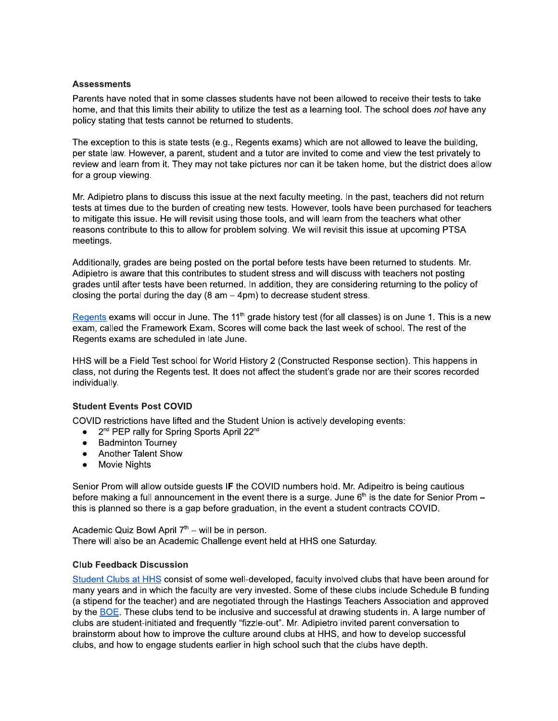#### **Assessments**

Parents have noted that in some classes students have not been allowed to receive their tests to take home, and that this limits their ability to utilize the test as a learning tool. The school does not have any policy stating that tests cannot be returned to students.

The exception to this is state tests (e.g., Regents exams) which are not allowed to leave the building. per state law. However, a parent, student and a tutor are invited to come and view the test privately to review and learn from it. They may not take pictures nor can it be taken home, but the district does allow for a group viewing.

Mr. Adipietro plans to discuss this issue at the next faculty meeting. In the past, teachers did not return tests at times due to the burden of creating new tests. However, tools have been purchased for teachers to mitigate this issue. He will revisit using those tools, and will learn from the teachers what other reasons contribute to this to allow for problem solving. We will revisit this issue at upcoming PTSA meetings.

Additionally, grades are being posted on the portal before tests have been returned to students. Mr. Adipietro is aware that this contributes to student stress and will discuss with teachers not posting grades until after tests have been returned. In addition, they are considering returning to the policy of closing the portal during the day ( $8$  am  $-$  4pm) to decrease student stress.

Regents exams will occur in June. The 11<sup>th</sup> grade history test (for all classes) is on June 1. This is a new exam, called the Framework Exam. Scores will come back the last week of school. The rest of the Regents exams are scheduled in late June.

HHS will be a Field Test school for World History 2 (Constructed Response section). This happens in class, not during the Regents test. It does not affect the student's grade nor are their scores recorded individually.

#### **Student Events Post COVID**

COVID restrictions have lifted and the Student Union is actively developing events:

- 2<sup>nd</sup> PEP rally for Spring Sports April 22<sup>nd</sup>
- **Badminton Tourney**  $\bullet$
- **Another Talent Show**  $\bullet$
- $\bullet$ **Movie Nights**

Senior Prom will allow outside guests IF the COVID numbers hold. Mr. Adipeitro is being cautious before making a full announcement in the event there is a surge. June  $6<sup>th</sup>$  is the date for Senior Prom – this is planned so there is a gap before graduation, in the event a student contracts COVID.

Academic Quiz Bowl April 7<sup>th</sup> – will be in person. There will also be an Academic Challenge event held at HHS one Saturday.

#### **Club Feedback Discussion**

Student Clubs at HHS consist of some well-developed, faculty involved clubs that have been around for many years and in which the faculty are very invested. Some of these clubs include Schedule B funding (a stipend for the teacher) and are negotiated through the Hastings Teachers Association and approved by the BOE. These clubs tend to be inclusive and successful at drawing students in. A large number of clubs are student-initiated and frequently "fizzle-out". Mr. Adipietro invited parent conversation to brainstorm about how to improve the culture around clubs at HHS, and how to develop successful clubs, and how to engage students earlier in high school such that the clubs have depth.